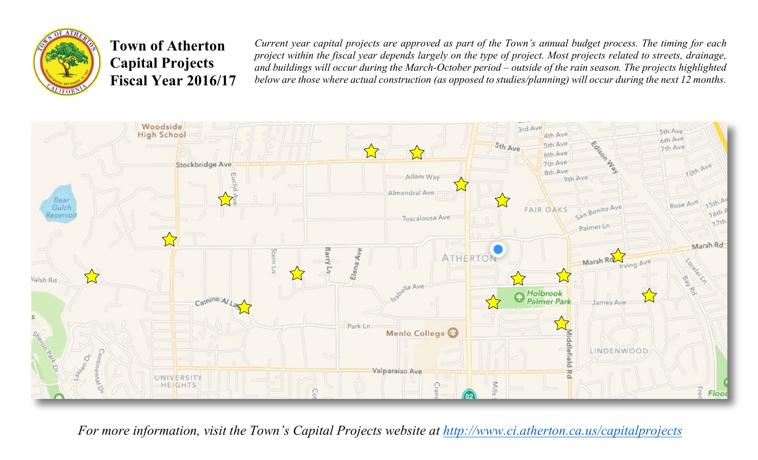

## **Town of Atherton Capital Projects Fiscal Year 2016/17**

*Current year capital projects are approved as part of the Town's annual budget process. The timing for each project within the fiscal year depends largely on the type of project. Most projects related to streets, drainage, and buildings will occur during the March-October period – outside of the rain season. The projects highlighted below are those where actual construction (as opposed to studies/planning) will occur during the next 12 months.* 



*For more information, visit the Town's Capital Projects website at http://www.ci.atherton.ca.us/capitalprojects*